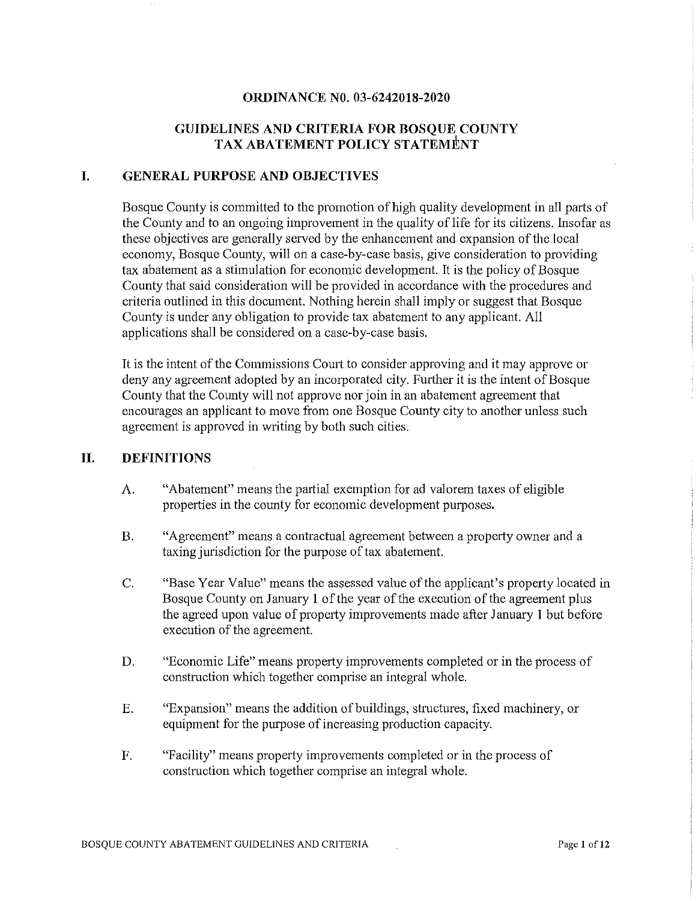#### **ORDINANCE NO. 03-6242018-2020**

# **GUIDELINES AND CRITERIA FOR BOSQUE COUNTY TAX ABATEMENT POLICY STATEMENT**

#### **I. GENERAL PURPOSE AND OBJECTIVES**

Bosque County is committed to the promotion of high quality development in all parts of the County and to an ongoing improvement in the quality of life for its citizens. Insofar as these objectives are generally served by the enhancement and expansion of the local economy, Bosque County, will on a case-by-case basis, give consideration to providing tax abatement as a stimulation for economic development. It is the policy of Bosque County that said consideration will be provided in accordance with the procedures and criteria outlined in this document. Nothing herein shall imply or suggest that Bosque County is under any obligation to provide tax abatement to any applicant. All applications shall be considered on a case-by-case basis.

It is the intent of the Commissions Court to consider approving and it may approve or deny any agreement adopted by an incorporated city. Further it is the intent of Bosque County that the County will not approve nor join in an abatement agreement that encourages an applicant to move from one Bosque County city to another unless such agreement is approved in writing by both such cities.

#### **II. DEFINITIONS**

- A. "Abatement" means the partial exemption for ad valorem taxes of eligible properties in the county for economic development purposes.
- B. "Agreement" means a contractual agreement between a property owner and a taxing jurisdiction for the purpose of tax abatement.
- C. "Base Year Value" means the assessed value of the applicant's property located in Bosque County on January 1 of the year of the execution of the agreement plus the agreed upon value of property improvements made after January 1 but before execution of the agreement.
- D. "Economic Life" means property improvements completed or in the process of construction which together comprise an integral whole.
- E. "Expansion" means the addition of buildings, structures, fixed machinery, or equipment for the purpose of increasing production capacity.
- F. "Facility" means property improvements completed or in the process of construction which together comprise an integral whole.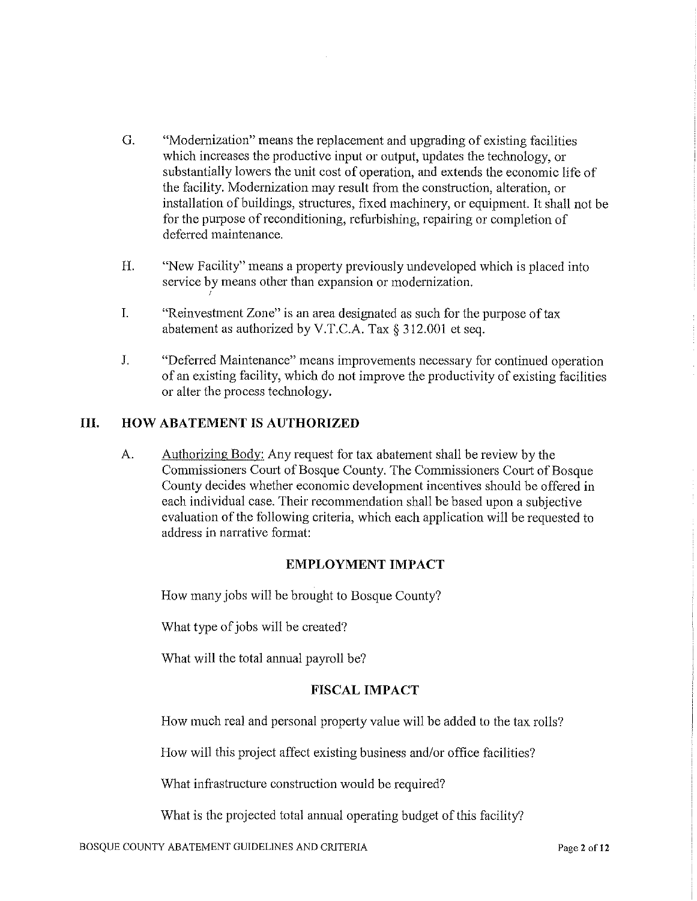- G. "Modernization" means the replacement and upgrading of existing facilities which increases the productive input or output, updates the technology, or substantially lowers the unit cost of operation, and extends the economic life of the facility. Modernization may result from the construction, alteration, or installation of buildings, structures, fixed machinery, or equipment. It shall not be for the purpose of reconditioning, refurbishing, repairing or completion of deferred maintenance.
- H. "New Facility" means a propetiy previously undeveloped which is placed into service by means other than expansion or modernization.
- I. "Reinvestment Zone" is an area designated as such for the purpose of tax abatement as authorized by V.T.C.A. Tax§ 312.001 et seq.
- J. "Deferred Maintenance" means improvements necessary for continued operation of an existing facility, which do not improve the productivity of existing facilities or alter the process technology.

# **III. HOW ABATEMENT IS AUTHORIZED**

I

A. Authorizing Body: Any request for tax abatement shall be review by the Commissioners Court of Bosque County. The Commissioners Court of Bosque County decides whether economic development incentives should be offered in each individual case. Their recommendation shall be based upon a subjective evaluation of the following criteria, which each application will be requested to address in narrative fotmat:

#### **EMPLOYMENT IMPACT**

How many jobs will be brought to Bosque County?

What type of jobs will be created?

What will the total annual payroll be?

#### **FISCAL IMPACT**

How much real and personal property value will be added to the tax rolls?

How will this project affect existing business and/or office facilities?

What infrastructure construction would be required?

What is the projected total annual operating budget of this facility?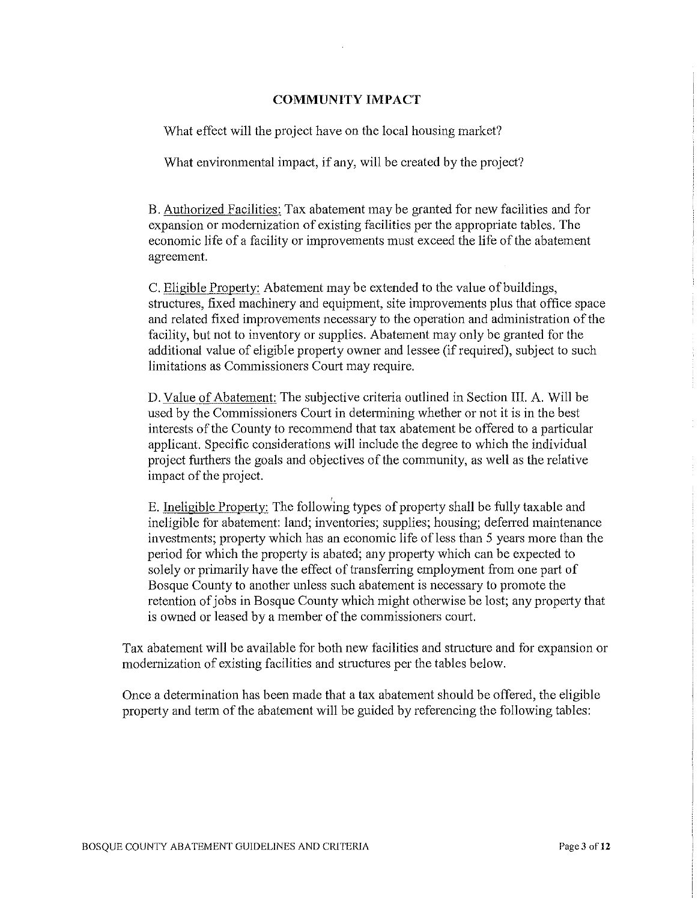#### **COMMUNITY IMPACT**

What effect will the project have on the local housing market?

What environmental impact, if any, will be created by the project?

B. Authorized Facilities: Tax abatement may be granted for new facilities and for expansion or modernization of existing facilities per the appropriate tables. The economic life of a facility or improvements must exceed the life of the abatement agreement.

C. Eligible Property: Abatement may be extended to the value of buildings, structures, fixed machinery and equipment, site improvements plus that office space and related fixed improvements necessary to the operation and administration of the facility, but not to inventory or supplies. Abatement may only be granted for the additional value of eligible property owner and lessee (if required), subject to such limitations as Commissioners Court may require.

D. Value of Abatement: The subjective criteria outlined in Section III. A. Will be used by the Commissioners Court in detennining whether or not it is in the best interests of the County to recommend that tax abatement be offered to a particular applicant. Specific considerations will include the degree to which the individual project fmihers the goals and objectives of the community, as well as the relative impact of the project.

E. Ineligible Property: The following types of property shall be fully taxable and ineligible for abatement: land; inventories; supplies; housing; deferred maintenance investments; property which has an economic life of less than 5 years more than the period for which the property is abated; any property which can be expected to solely or primarily have the effect of transferring employment from one part of Bosque County to another unless such abatement is necessary to promote the retention of jobs in Bosque County which might otherwise be lost; any property that is owned or leased by a member of the commissioners court.

Tax abatement will be available for both new facilities and structure and for expansion or modernization of existing facilities and structures per the tables below.

Once a detennination has been made that a tax abatement should be offered, the eligible property and term of the abatement will be guided by referencing the following tables: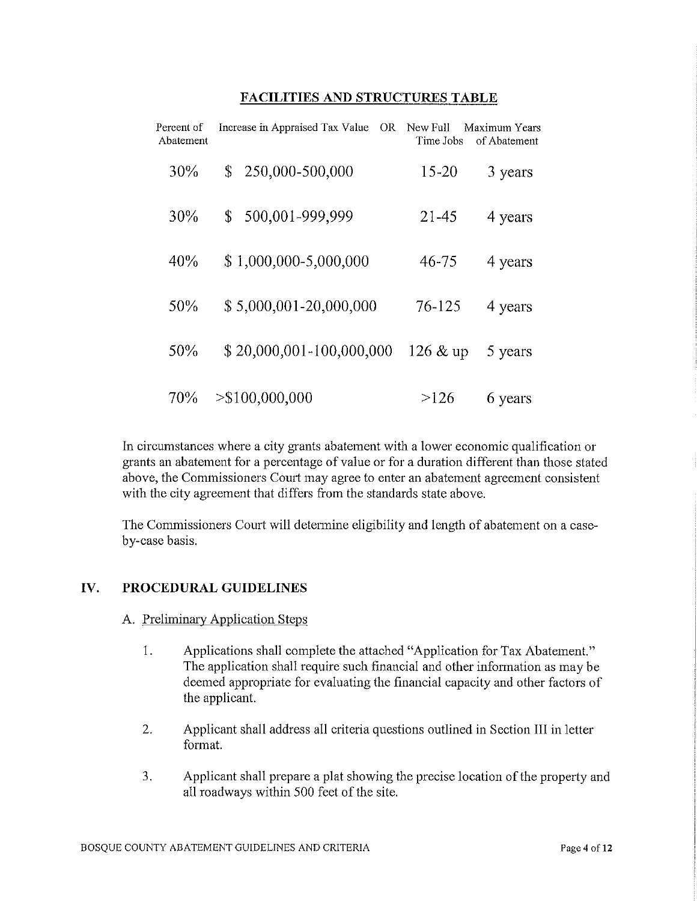#### **FACILITIES AND STRUCTURES TABLE**

| Percent of<br>Abatement | Increase in Appraised Tax Value<br>OR. | New Full<br>Time Jobs | Maximum Years<br>of Abatement |
|-------------------------|----------------------------------------|-----------------------|-------------------------------|
| 30%                     | 250,000-500,000<br>\$                  | $15 - 20$             | 3 years                       |
| 30%                     | 500,001-999,999<br>\$                  | 21-45                 | 4 years                       |
| 40%                     | \$1,000,000-5,000,000                  | 46-75                 | 4 years                       |
| 50%                     | \$5,000,001-20,000,000                 | 76-125                | 4 years                       |
| 50%                     | \$20,000,001-100,000,000               | 126 & up              | 5 years                       |
| 70%                     | $>\$100,000,000$                       | >126                  | 6 years                       |

In circumstances where a city grants abatement with a lower economic qualification or grants an abatement for a percentage of value or for a duration different than those stated above, the Commissioners Court may agree to enter an abatement agreement consistent with the city agreement that differs from the standards state above.

The Commissioners Court will determine eligibility and length of abatement on a caseby-case basis.

# IV. **PROCEDURAL GUIDELINES**

- A. Preliminary Application Steps
	- 1. Applications shall complete the attached "Application for Tax Abatement." The application shall require such financial and other information as may be deemed appropriate for evaluating the financial capacity and other factors of the applicant.
	- 2. Applicant shall address all criteria questions outlined in Section III in letter format.
	- 3. Applicant shall prepare a plat showing the precise location of the property and all roadways within 500 feet of the site.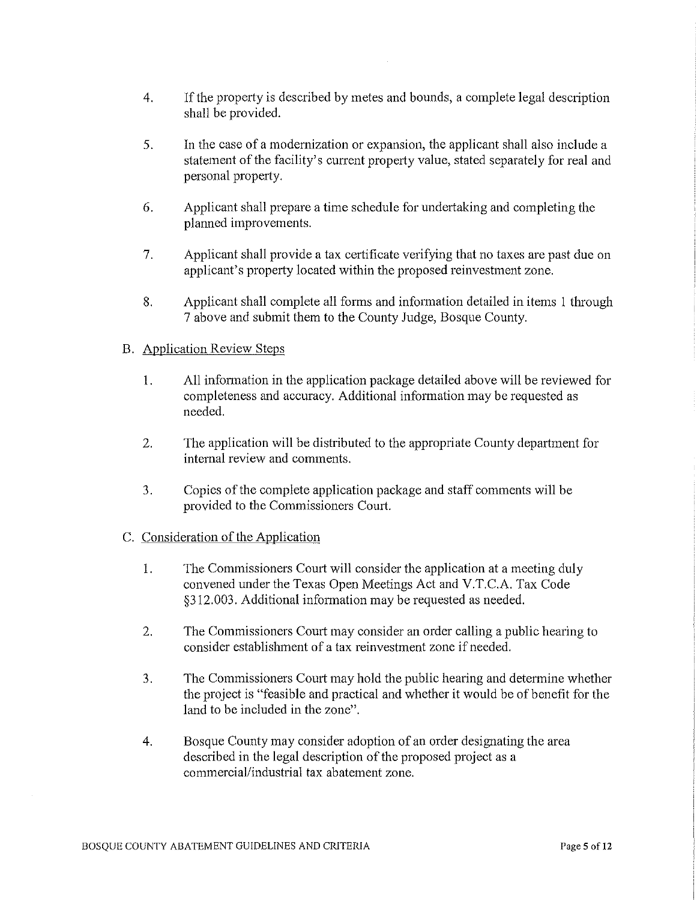- 4. If the property is described by metes and bounds, a complete legal description shall be provided.
- 5. In the case of a modernization or expansion, the applicant shall also include a statement of the facility's current property value, stated separately for real and personal property.
- 6. Applicant shall prepare a time schedule for undertaking and completing the planned improvements.
- 7. Applicant shall provide a tax certificate verifying that no taxes are past due on applicant's property located within the proposed reinvestment zone.
- 8. Applicant shall complete all forms and information detailed in items 1 through 7 above and submit them to the County Judge, Bosque County.

# B. Application Review Steps

- 1. All infonnation in the application package detailed above will be reviewed for completeness and accuracy. Additional information may be requested as needed.
- 2. The application will be distributed to the appropriate County department for internal review and comments.
- 3. Copies of the complete application package and staff comments will be provided to the Commissioners Comi.

#### C. Consideration of the Application

- 1. The Commissioners Court will consider the application at a meeting duly convened under the Texas Open Meetings Act and V.T.C.A. Tax Code §312.003. Additional information may be requested as needed.
- 2. The Commissioners Court may consider an order calling a public hearing to consider establishment of a tax reinvestment zone if needed.
- 3. The Commissioners Court may hold the public hearing and detennine whether the project is "feasible and practical and whether it would be of benefit for the land to be included in the zone".
- 4. Bosque County may consider adoption of an order designating the area described in the legal description of the proposed project as a commercial/industrial tax abatement zone.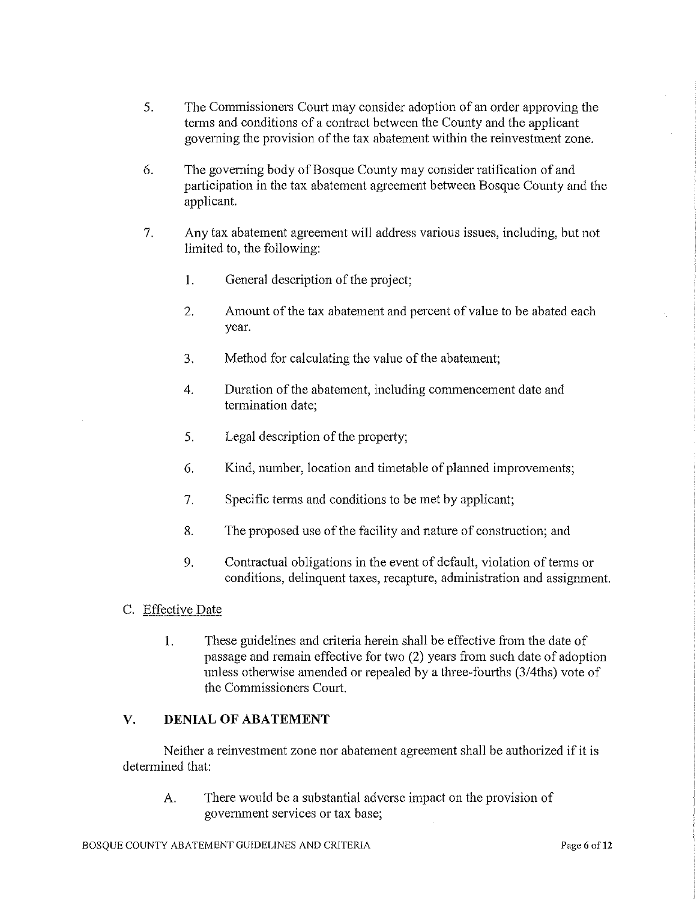- 5. The Commissioners Court may consider adoption of an order approving the terms and conditions of a contract between the County and the applicant governing the provision of the tax abatement within the reinvestment zone.
- 6. The governing body of Bosque County may consider ratification of and participation in the tax abatement agreement between Bosque County and the applicant.
- 7. Any tax abatement agreement will address vatious issues, including, but not limited to, the following:
	- I. General description of the project;
	- 2. Amount of the tax abatement and percent of value to be abated each year.
	- 3. Method for calculating the value of the abatement;
	- 4. Duration of the abatement, including commencement date and termination date;
	- 5. Legal description of the property;
	- 6. Kind, number, location and timetable of planned improvements;
	- 7. Specific terms and conditions to be met by applicant;
	- 8. The proposed use of the facility and nature of constrnction; and
	- 9. Contractual obligations in the event of default, violation of terms or conditions, delinquent taxes, recapture, administration and assignment.
- C. Effective Date
	- 1. These guidelines and criteria herein shall be effective from the date of passage and remain effective for two (2) years from such date of adoption unless otherwise amended or repealed by a three-fourths (3/4ths) vote of the Commissioners Court.

# **V. DENIAL OF ABATEMENT**

Neither a reinvestment zone nor abatement agreement shall be authorized if it is determined that:

A. There would be a substantial adverse impact on the provision of government services or tax base;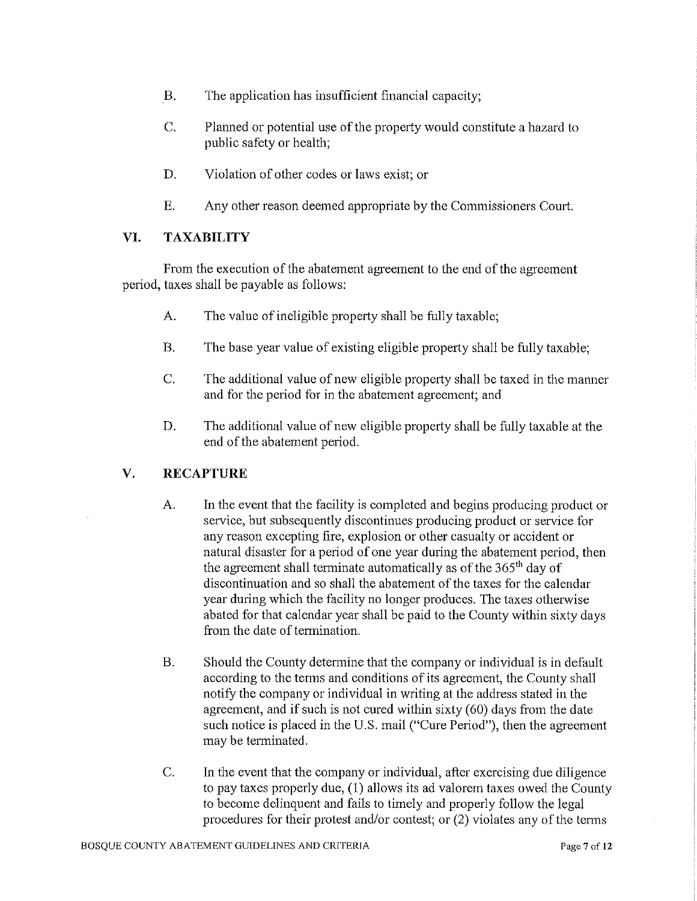- B. The application has insufficient financial capacity;
- C. Planned or potential use of the property would constitute a hazard to public safety or health;
- D. Violation of other codes or laws exist; or
- E. Any other reason deemed appropriate by the Commissioners Court.

# VI. **TAXABILITY**

From the execution of the abatement agreement to the end of the agreement period, taxes shall be payable as follows:

- A. The value of ineligible property shall be fully taxable;
- B. The base year value of existing eligible property shall be fully taxable;
- C. The additional value of new eligible property shall be taxed in the manner and for the period for in the abatement agreement; and
- D. The additional value of new eligible property shall be fully taxable at the end of the abatement period.

# **V. RECAPTURE**

- A. In the event that the facility is completed and begins producing product or service, but subsequently discontinues producing product or service for any reason excepting fire, explosion or other casualty or accident or natural disaster for a period of one year during the abatement period, then the agreement shall terminate automatically as of the 365'h day of discontinuation and so shall the abatement of the taxes for the calendar year during which the facility no longer produces. The taxes otherwise abated for that calendar year shall be paid to the County within sixty days from the date of termination.
- B. Should the County determine that the company or individual is in default according to the tenns and conditions of its agreement, the County shall notify the company or individual in writing at the address stated in the agreement, and if such is not cured within sixty (60) days from the date such notice is placed in the U.S. mail ("Cure Period"), then the agreement may be terminated.
- C. In the event that the company or individual, after exercising due diligence to pay taxes properly due, (I) allows its ad valorem taxes owed the County to become delinquent and fails to timely and properly follow the legal procedures for their protest and/or contest; or (2) violates any of the tetms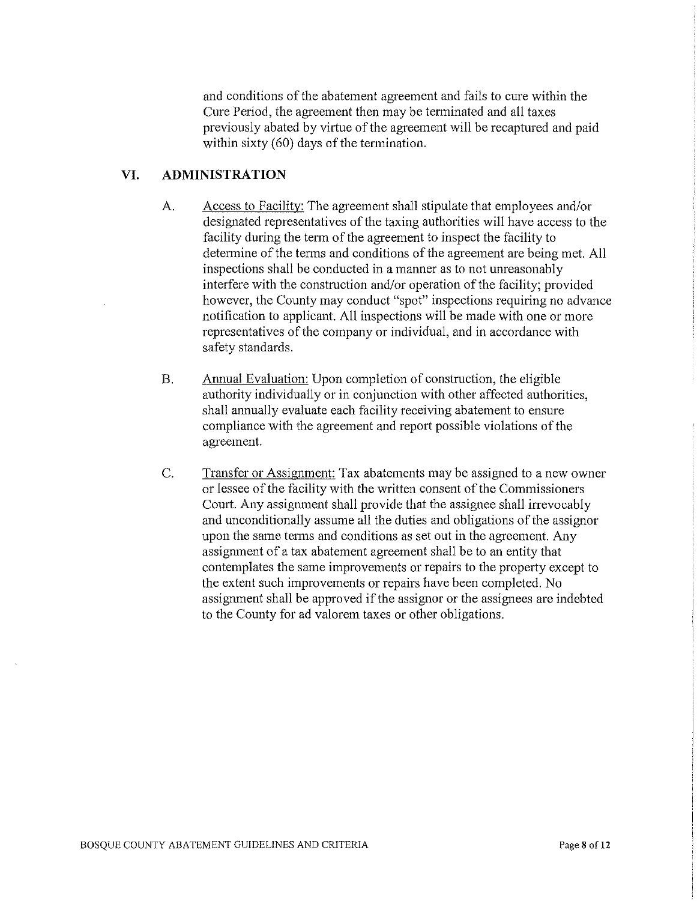and conditions of the abatement agreement and fails to cure within the Cure Period, the agreement then may be terminated and all taxes previously abated by virtue of the agreement will be recaptured and paid within sixty (60) days of the termination.

# **VI. ADMINISTRATION**

- A. Access to Facility: The agreement shall stipulate that employees and/or designated representatives of the taxing authorities will have access to the facility during the term of the agreement to inspect the facility to determine of the terms and conditions of the agreement are being met. All inspections shall be conducted in a manner as to not unreasonably interfere with the construction and/or operation of the facility; provided however, the County may conduct "spot" inspections requiring no advance notification to applicant. All inspections will be made with one or more representatives of the company or individual, and in accordance with safety standards.
- B. Annual Evaluation: Upon completion of construction, the eligible authority individually or in conjunction with other affected authorities, shall annually evaluate each facility receiving abatement to ensure compliance with the agreement and report possible violations of the agreement.
- C. Transfer or Assignment: Tax abatements may be assigned to a new owner or lessee of the facility with the written consent of the Commissioners Court. Any assignment shall provide that the assignee shall irrevocably and unconditionally assume all the duties and obligations of the assignor upon the same terms and conditions as set out in the agreement. Any assigmnent of a tax abatement agreement shall be to an entity that contemplates the same improvements or repairs to the property except to the extent such improvements or repairs have been completed. No assignment shall be approved if the assignor or the assignees are indebted to the County for ad valorem taxes or other obligations.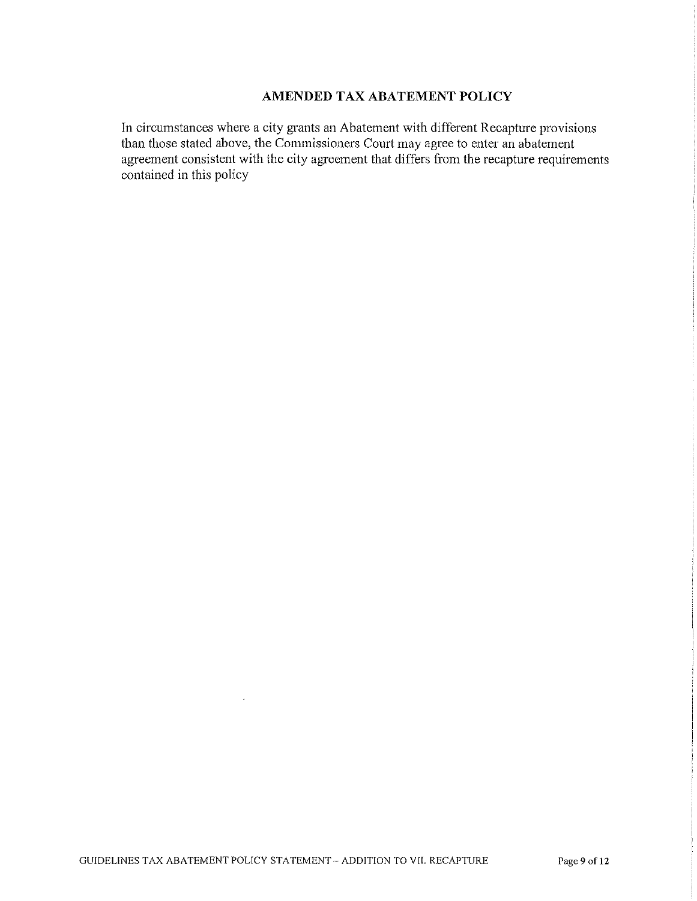# **AMENDED TAX ABATEMENT POLICY**

In circumstances where a city grants an Abatement with different Recapture provisions than those stated above, the Commissioners Court may agree to enter an abatement agreement consistent with the city agreement that differs from the recapture requirements contained in this policy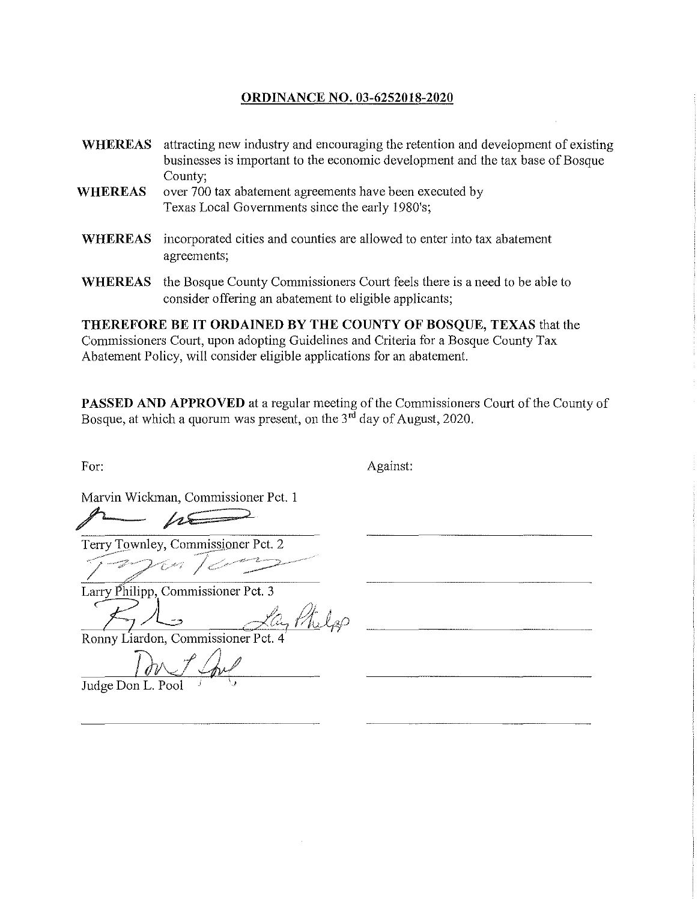## **ORDINANCE NO. 03-6252018-2020**

- **WHEREAS** attracting new industry and encouraging the retention and development of existing businesses is important to the economic development and the tax base of Bosque County;
- **WHEREAS** over 700 tax abatement agreements have been executed by Texas Local Governments since the early 1980's;
- **WHEREAS** incorporated cities and counties are allowed to enter into tax abatement agreements;
- WHEREAS the Bosque County Commissioners Court feels there is a need to be able to consider offering an abatement to eligible applicants;

**THEREFORE BE IT ORDAINED BY THE COUNTY OF BOSQUE, TEXAS** that the Commissioners Court, upon adopting Guidelines and Criteria for a Bosque County Tax Abatement Policy, will consider eligible applications for an abatement.

**PASSED AND APPROVED** at a regular meeting of the Commissioners Court of the County of Bosque, at which a quorum was present, on the  $3<sup>rd</sup>$  day of August, 2020.

For: Against:

Marvin Wickman, Commissioner Pct. 1

Larry Philipp, Commissioner Pct. 3

Ronny Liardon, Commissioner Pct. 4

Don & Coul

Judge Don L. Pool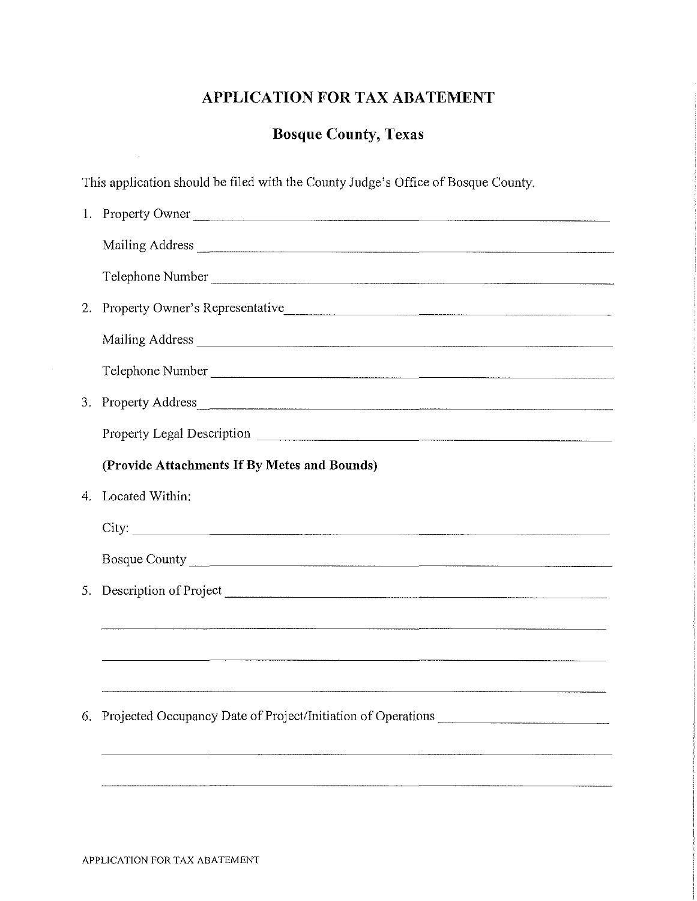# **APPLICATION FOR TAX ABATEMENT**

# **Bosque County, Texas**

This application should be filed with the County Judge's Office of Bosque County.

|    | 1. Property Owner                                                                 |
|----|-----------------------------------------------------------------------------------|
|    |                                                                                   |
|    | Telephone Number                                                                  |
|    | 2. Property Owner's Representative                                                |
|    |                                                                                   |
|    | Telephone Number                                                                  |
|    | 3. Property Address                                                               |
|    |                                                                                   |
|    | (Provide Attachments If By Metes and Bounds)                                      |
|    | 4. Located Within:                                                                |
|    |                                                                                   |
|    |                                                                                   |
| 5. |                                                                                   |
|    |                                                                                   |
|    | <u> 1980 - Jan Samuel Samuel (d. 1980)</u>                                        |
|    |                                                                                   |
| 6. | Projected Occupancy Date of Project/Initiation of Operations ____________________ |
|    |                                                                                   |
|    |                                                                                   |

 $\bar{1}$